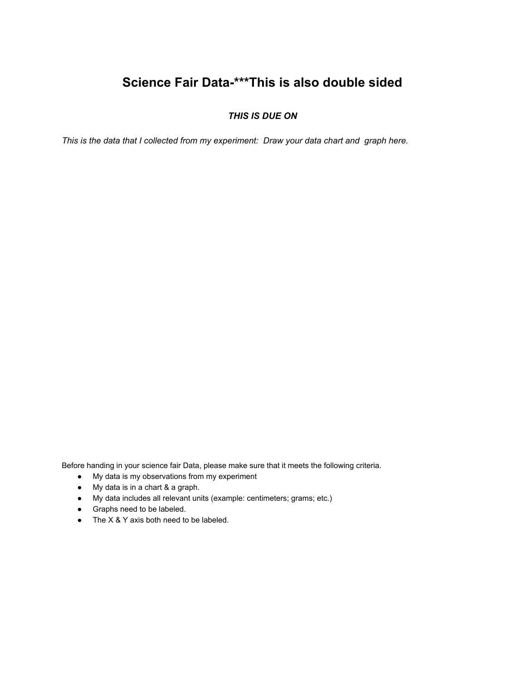## **Science Fair Data-\*\*\*This is also double sided**

## *THIS IS DUE ON*

*This is the data that I collected from my experiment: Draw your data chart and graph here.*

Before handing in your science fair Data, please make sure that it meets the following criteria.

- My data is my observations from my experiment
- My data is in a chart & a graph.
- My data includes all relevant units (example: centimeters; grams; etc.)
- Graphs need to be labeled.
- The X & Y axis both need to be labeled.